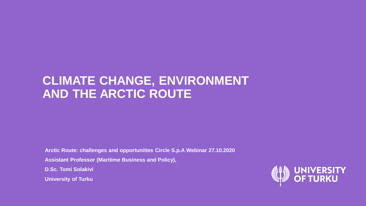#### **CLIMATE CHANGE, ENVIRONMENT AND THE ARCTIC ROUTE**

**Arctic Route: challenges and opportunities Circle S.p.A Webinar 27.10.2020**

**Assistant Professor (Maritime Business and Policy),** 

**D.Sc. Tomi Solakivi**

**University of Turku**

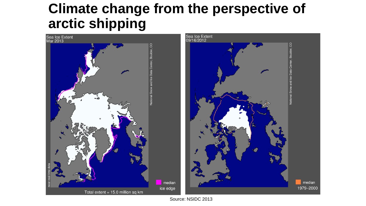### **Climate change from the perspective of arctic shipping**



Source: NSIDC 2013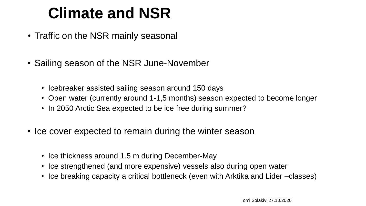# **Climate and NSR**

- Traffic on the NSR mainly seasonal
- Sailing season of the NSR June-November
	- Icebreaker assisted sailing season around 150 days
	- Open water (currently around 1-1,5 months) season expected to become longer
	- In 2050 Arctic Sea expected to be ice free during summer?
- Ice cover expected to remain during the winter season
	- Ice thickness around 1.5 m during December-May
	- Ice strengthened (and more expensive) vessels also during open water
	- Ice breaking capacity a critical bottleneck (even with Arktika and Lider –classes)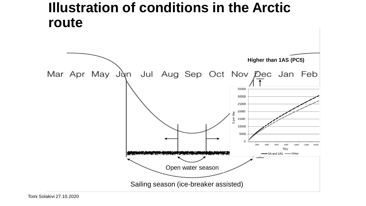#### **Illustration of conditions in the Arctic route**



Tomi Solakivi 27.10.2020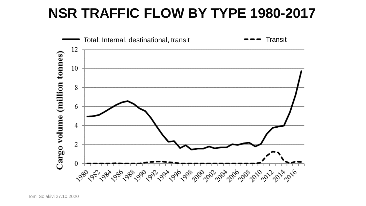### **NSR TRAFFIC FLOW BY TYPE 1980-2017**

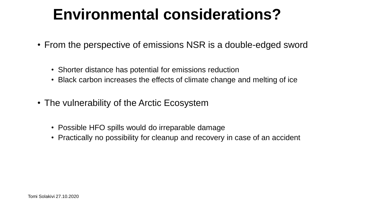# **Environmental considerations?**

- From the perspective of emissions NSR is a double-edged sword
	- Shorter distance has potential for emissions reduction
	- Black carbon increases the effects of climate change and melting of ice
- The vulnerability of the Arctic Ecosystem
	- Possible HFO spills would do irreparable damage
	- Practically no possibility for cleanup and recovery in case of an accident